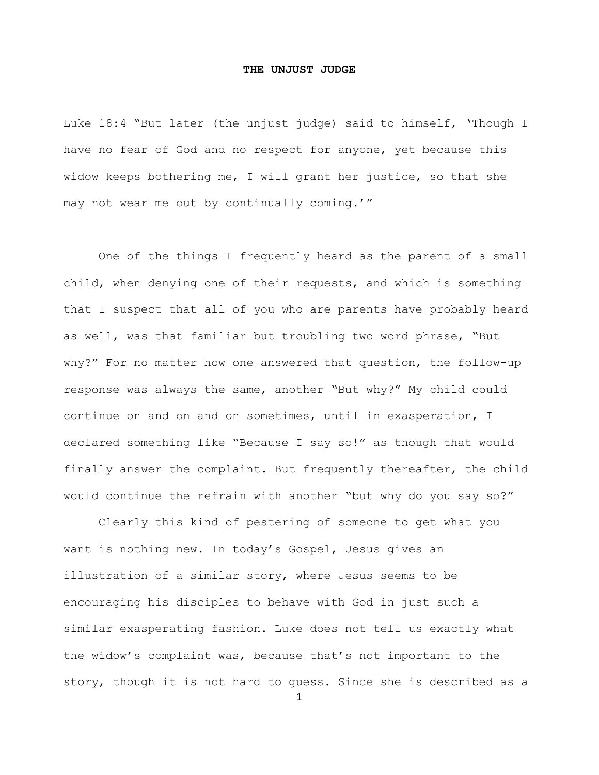## **THE UNJUST JUDGE**

Luke 18:4 "But later (the unjust judge) said to himself, 'Though I have no fear of God and no respect for anyone, yet because this widow keeps bothering me, I will grant her justice, so that she may not wear me out by continually coming.'"

One of the things I frequently heard as the parent of a small child, when denying one of their requests, and which is something that I suspect that all of you who are parents have probably heard as well, was that familiar but troubling two word phrase, "But why?" For no matter how one answered that question, the follow-up response was always the same, another "But why?" My child could continue on and on and on sometimes, until in exasperation, I declared something like "Because I say so!" as though that would finally answer the complaint. But frequently thereafter, the child would continue the refrain with another "but why do you say so?"

Clearly this kind of pestering of someone to get what you want is nothing new. In today's Gospel, Jesus gives an illustration of a similar story, where Jesus seems to be encouraging his disciples to behave with God in just such a similar exasperating fashion. Luke does not tell us exactly what the widow's complaint was, because that's not important to the story, though it is not hard to guess. Since she is described as a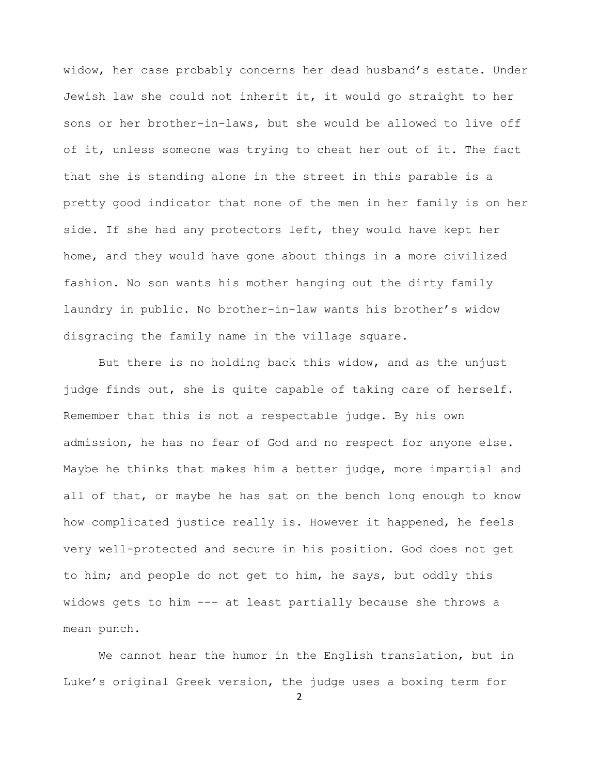widow, her case probably concerns her dead husband's estate. Under Jewish law she could not inherit it, it would go straight to her sons or her brother-in-laws, but she would be allowed to live off of it, unless someone was trying to cheat her out of it. The fact that she is standing alone in the street in this parable is a pretty good indicator that none of the men in her family is on her side. If she had any protectors left, they would have kept her home, and they would have gone about things in a more civilized fashion. No son wants his mother hanging out the dirty family laundry in public. No brother-in-law wants his brother's widow disgracing the family name in the village square.

But there is no holding back this widow, and as the unjust judge finds out, she is quite capable of taking care of herself. Remember that this is not a respectable judge. By his own admission, he has no fear of God and no respect for anyone else. Maybe he thinks that makes him a better judge, more impartial and all of that, or maybe he has sat on the bench long enough to know how complicated justice really is. However it happened, he feels very well-protected and secure in his position. God does not get to him; and people do not get to him, he says, but oddly this widows gets to him --- at least partially because she throws a mean punch.

We cannot hear the humor in the English translation, but in Luke's original Greek version, the judge uses a boxing term for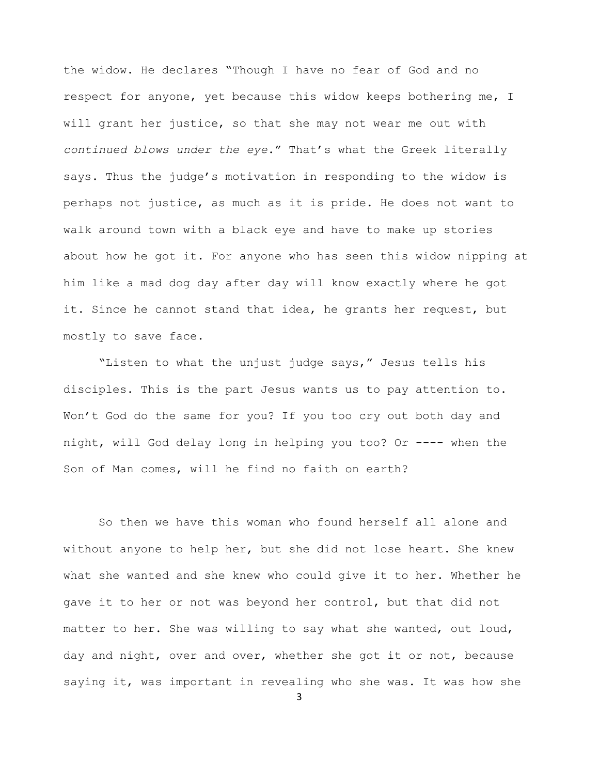the widow. He declares "Though I have no fear of God and no respect for anyone, yet because this widow keeps bothering me, I will grant her justice, so that she may not wear me out with *continued blows under the eye*." That's what the Greek literally says. Thus the judge's motivation in responding to the widow is perhaps not justice, as much as it is pride. He does not want to walk around town with a black eye and have to make up stories about how he got it. For anyone who has seen this widow nipping at him like a mad dog day after day will know exactly where he got it. Since he cannot stand that idea, he grants her request, but mostly to save face.

"Listen to what the unjust judge says," Jesus tells his disciples. This is the part Jesus wants us to pay attention to. Won't God do the same for you? If you too cry out both day and night, will God delay long in helping you too? Or ---- when the Son of Man comes, will he find no faith on earth?

So then we have this woman who found herself all alone and without anyone to help her, but she did not lose heart. She knew what she wanted and she knew who could give it to her. Whether he gave it to her or not was beyond her control, but that did not matter to her. She was willing to say what she wanted, out loud, day and night, over and over, whether she got it or not, because saying it, was important in revealing who she was. It was how she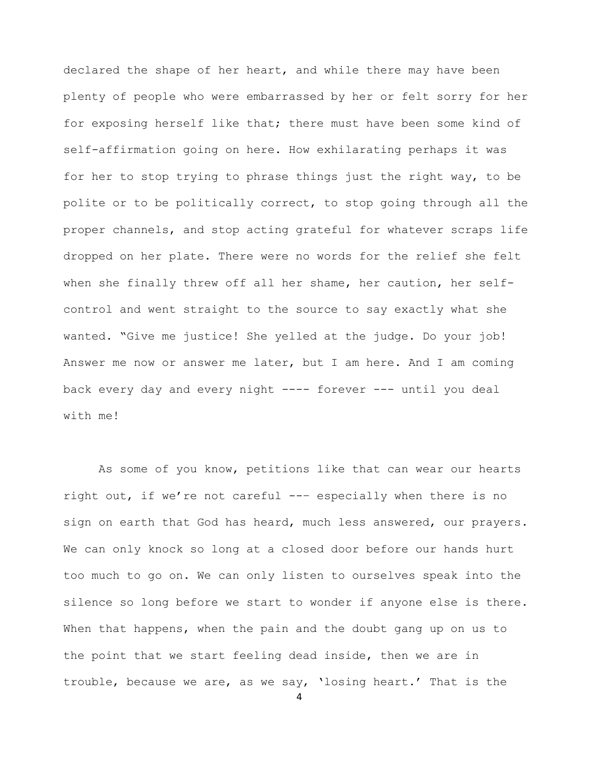declared the shape of her heart, and while there may have been plenty of people who were embarrassed by her or felt sorry for her for exposing herself like that; there must have been some kind of self-affirmation going on here. How exhilarating perhaps it was for her to stop trying to phrase things just the right way, to be polite or to be politically correct, to stop going through all the proper channels, and stop acting grateful for whatever scraps life dropped on her plate. There were no words for the relief she felt when she finally threw off all her shame, her caution, her selfcontrol and went straight to the source to say exactly what she wanted. "Give me justice! She yelled at the judge. Do your job! Answer me now or answer me later, but I am here. And I am coming back every day and every night ---- forever --- until you deal with me!

As some of you know, petitions like that can wear our hearts right out, if we're not careful --– especially when there is no sign on earth that God has heard, much less answered, our prayers. We can only knock so long at a closed door before our hands hurt too much to go on. We can only listen to ourselves speak into the silence so long before we start to wonder if anyone else is there. When that happens, when the pain and the doubt gang up on us to the point that we start feeling dead inside, then we are in trouble, because we are, as we say, 'losing heart.' That is the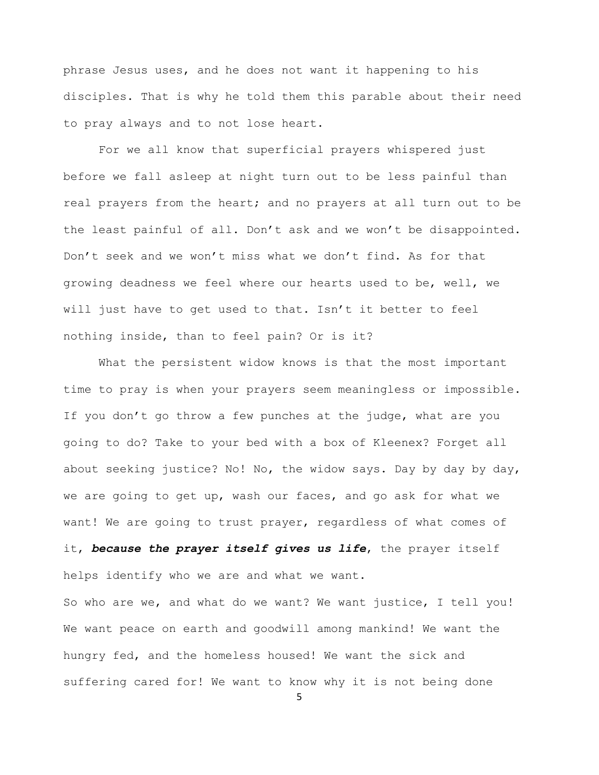phrase Jesus uses, and he does not want it happening to his disciples. That is why he told them this parable about their need to pray always and to not lose heart.

For we all know that superficial prayers whispered just before we fall asleep at night turn out to be less painful than real prayers from the heart; and no prayers at all turn out to be the least painful of all. Don't ask and we won't be disappointed. Don't seek and we won't miss what we don't find. As for that growing deadness we feel where our hearts used to be, well, we will just have to get used to that. Isn't it better to feel nothing inside, than to feel pain? Or is it?

What the persistent widow knows is that the most important time to pray is when your prayers seem meaningless or impossible. If you don't go throw a few punches at the judge, what are you going to do? Take to your bed with a box of Kleenex? Forget all about seeking justice? No! No, the widow says. Day by day by day, we are going to get up, wash our faces, and go ask for what we want! We are going to trust prayer, regardless of what comes of it, *because the prayer itself gives us life*, the prayer itself helps identify who we are and what we want.

So who are we, and what do we want? We want justice, I tell you! We want peace on earth and goodwill among mankind! We want the hungry fed, and the homeless housed! We want the sick and suffering cared for! We want to know why it is not being done